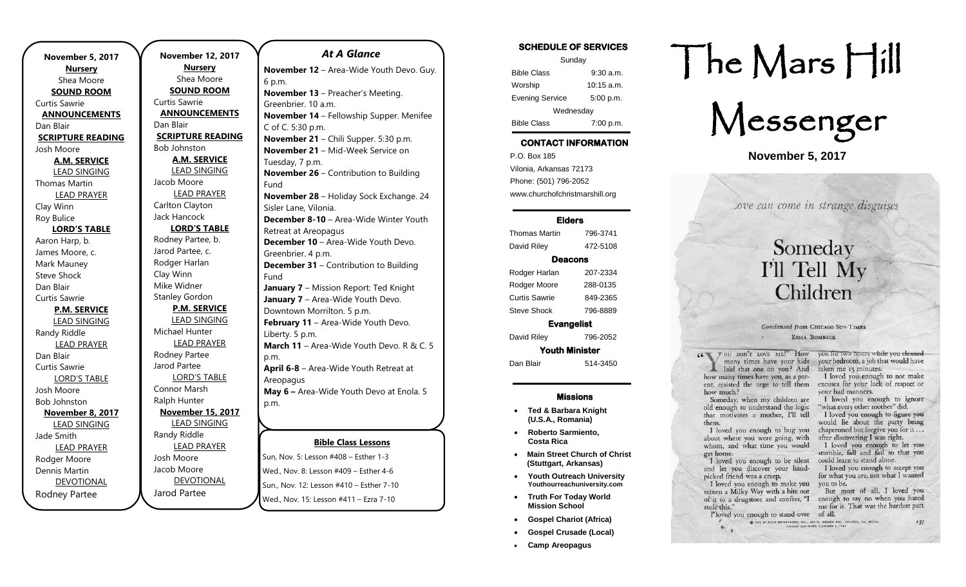| November 5, 2017                   |  |
|------------------------------------|--|
| <b>Nursery</b>                     |  |
| Shea Moore                         |  |
|                                    |  |
| <b>SOUND ROOM</b><br>Curtis Sawrie |  |
|                                    |  |
| <b>ANNOUNCEMENTS</b><br>Dan Blair  |  |
| <b>SCRIPTURE READING</b>           |  |
| Josh Moore                         |  |
| A.M. SERVICE                       |  |
| <b>LEAD SINGING</b>                |  |
| <b>Thomas Martin</b>               |  |
| <b>LEAD PRAYER</b>                 |  |
| Clay Winn                          |  |
| Roy Bulice                         |  |
| <b>LORD'S TABLE</b>                |  |
| Aaron Harp, b.                     |  |
| James Moore, c.                    |  |
| Mark Mauney                        |  |
| <b>Steve Shock</b>                 |  |
| Dan Blair                          |  |
| <b>Curtis Sawrie</b>               |  |
| <b>P.M. SERVICE</b>                |  |
| <b>LEAD SINGING</b>                |  |
| Randy Riddle                       |  |
| <b>LEAD PRAYER</b>                 |  |
| Dan Blair                          |  |
| Curtis Sawrie                      |  |
| <b>LORD'S TABLE</b>                |  |
| Josh Moore                         |  |
| <b>Bob Johnston</b>                |  |
| <b>November 8, 2017</b>            |  |
| <b>LEAD SINGING</b>                |  |
| Jade Smith                         |  |
| <b>LEAD PRAYER</b>                 |  |
| Rodger Moore                       |  |
| Dennis Martin                      |  |
| <b>DEVOTIONAL</b>                  |  |
| Rodney Partee                      |  |

.

**November 12, 2017 Nursery** Shea Moore **SOUND ROOM** Curtis Sawrie **ANNOUNCEMENTS** Dan Blair **SCRIPTURE READING** Bob Johnston **A.M. SERVICE** LEAD SINGING Jacob Moore LEAD PRAYER Carlton Clayton Jack Hancock **LORD'S TABLE** Rodney Partee, b. Jarod Partee, c. Rodger Harlan Clay Winn Mike Widner Stanley Gordon **P.M. SERVICE** LEAD SINGING Michael Hunter LEAD PRAYER Rodney Partee Jarod Partee LORD'S TABLE Connor Marsh Ralph Hunter **November 15, 2017** LEAD SINGING Randy Riddle LEAD PRAYER Josh Moore Jacob Moore DEVOTIONAL p.m. p.m.

Jarod Partee

#### **Bible Class Lessons July 8-13, 2018 –** Gospel Gathering Sun, Nov. 5: Lesson #408 – Esther 1-3 Wed., Nov. 8: Lesson #409 – Esther 4-6 *At A Glance*  **November 12** – Area-Wide Youth Devo. Guy. 6 p.m. **November 13** – Preacher's Meeting. Greenbrier. 10 a.m. **November 14** – Fellowship Supper. Menifee C of C. 5:30 p.m. **November 21** – Chili Supper. 5:30 p.m. **November 21 – Mid-Week Service on** Tuesday, 7 p.m. **November 26 – Contribution to Building** Fund **November 28** – Holiday Sock Exchange. 24 Sisler Lane, Vilonia. **December 8-10** – Area-Wide Winter Youth Retreat at Areopagus **December 10** - Area-Wide Youth Devo. Greenbrier. 4 p.m. **December 31 – Contribution to Building** Fund **January 7** – Mission Report: Ted Knight **January 7** – Area-Wide Youth Devo. Downtown Morrilton. 5 p.m. **February 11** – Area-Wide Youth Devo. Liberty. 5 p.m. **March 11** – Area-Wide Youth Devo. R & C. 5 **April 6-8** – Area-Wide Youth Retreat at Areopagus **May 6 –** Area-Wide Youth Devo at Enola. 5 **July 10**

Wed., Nov. 15: Lesson #411 – Ezra 7-10

Sun., Nov. 12: Lesson #410 – Esther 7-10

## SCHEDULE OF SERVICES Sunday

| <b>Bible Class</b>     | $9:30$ a.m.  |  |
|------------------------|--------------|--|
| Worship                | $10:15$ a.m. |  |
| <b>Evening Service</b> | 5:00 p.m.    |  |
| Wednesday              |              |  |
| <b>Bible Class</b>     | 7:00 p.m.    |  |

## CONTACT INFORMATION

. .o. Box 166<br>Vilonia, Arkansas 72173 P.O. Box 185 Phone: (501) 796-2052 www.churchofchristmarshill.org

#### Elders

| Thomas Martin      | 796-3741 |  |
|--------------------|----------|--|
| David Riley        | 472-5108 |  |
| Deacons            |          |  |
| Rodger Harlan      | 207-2334 |  |
| Rodger Moore       | 288-0135 |  |
| Curtis Sawrie      | 849-2365 |  |
| <b>Steve Shock</b> | 796-8889 |  |
| <b>Evangelist</b>  |          |  |

David Riley 796-2052 Youth Minister

Dan Blair 514-3450

#### Missions

- **Ted & Barbara Knight (U.S.A., Romania)**
- **Roberto Sarmiento, Costa Rica**
- **Main Street Church of Christ (Stuttgart, Arkansas)**
- **Youth Outreach University Youthourreachuniversity.com**
- **Truth For Today World Mission School**
- **Gospel Chariot (Africa)**
- **Gospel Crusade (Local)**
- **Camp Areopagus**

# The Mars Hill



**November 5, 2017**

Love can come in strange disguises

## Someday I'll Tell My Children

#### Condensed from CHICAGO SUN-TIMES ERMA BOMBECK

Tou DON'T LOVE ME!" How you for two hours while you cleaned  $66\sqrt{1}$ many times have your kids your bedroom, a job that would have laid that one on you? And taken me 15 minutes. how many times have you, as a parent, resisted the urge to tell them how much? Someday, when my children are old enough to understand the logic that motivates a mother. I'll tell them. I loved you enough to bug you about where you were going, with

s.

whom, and what time you would get home.

could learn to stand alone. I loved you enough to be silent and let you discover your hand-I loved you enough to accept you for what you are, not what I wanted picked friend was a creep. you to be. I loved you enough to make you return a Milky Way with a bite out of it to a drugstore and confess, "I stole this."

But most of all, I loved you enough to say no when you hated me for it. That was the hardest part

I loved you enough to not make

I loved you enough to ignore

would lie about the party being

chaperoned but forgive you for it...

I loved you enough to let you

stumble, fall and fail so that you

excuses for your lack of respect or

"what every other mother" did. I loved you enough to figure you

after discovering I was right.

vour bad manners.

I'loved you enough to stand over of all. O 1926 BY FILLD ENTERPRISES, INC., 401 N. WARREN AVE.<br>CHICAGO SUN-TIMES (JANUARY 4, '7

 $137$